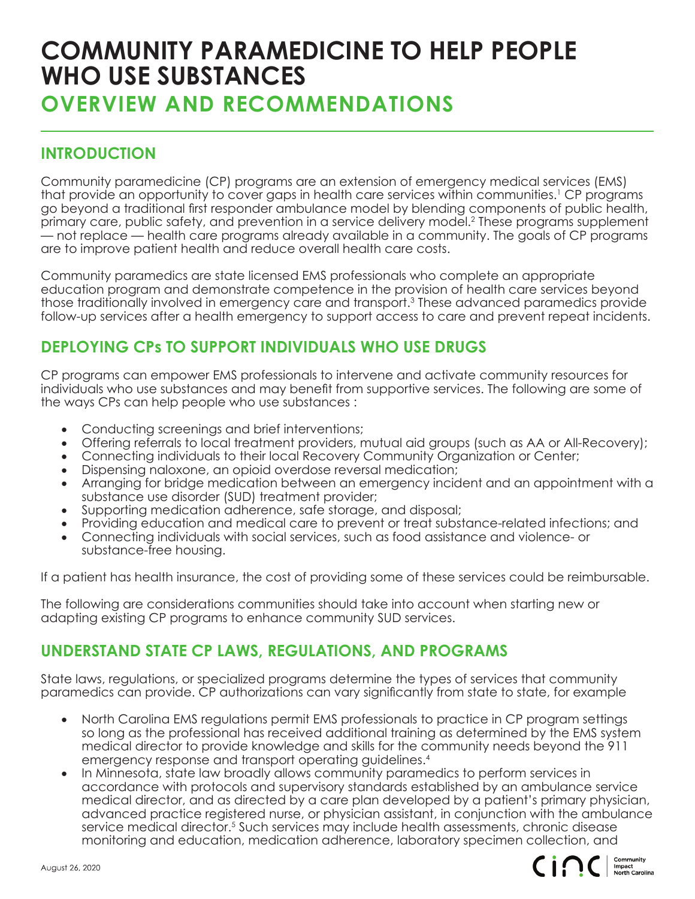## **COMMUNITY PARAMEDICINE TO HELP PEOPLE WHO USE SUBSTANCES**

**OVERVIEW AND RECOMMENDATIONS**

## **INTRODUCTION**

Community paramedicine (CP) programs are an extension of emergency medical services (EMS) that provide an opportunity to cover gaps in health care services within communities.<sup>1</sup> CP programs go beyond a traditional first responder ambulance model by blending components of public health, primary care, public safety, and prevention in a service delivery model.<sup>2</sup> These programs supplement — not replace — health care programs already available in a community. The goals of CP programs are to improve patient health and reduce overall health care costs.

Community paramedics are state licensed EMS professionals who complete an appropriate education program and demonstrate competence in the provision of health care services beyond those traditionally involved in emergency care and transport.3 These advanced paramedics provide follow-up services after a health emergency to support access to care and prevent repeat incidents.

## **DEPLOYING CPs TO SUPPORT INDIVIDUALS WHO USE DRUGS**

CP programs can empower EMS professionals to intervene and activate community resources for individuals who use substances and may benefit from supportive services. The following are some of the ways CPs can help people who use substances :

- Conducting screenings and brief interventions;
- Offering referrals to local treatment providers, mutual aid groups (such as AA or All-Recovery);
- Connecting individuals to their local Recovery Community Organization or Center;
- Dispensing naloxone, an opioid overdose reversal medication;
- Arranging for bridge medication between an emergency incident and an appointment with a substance use disorder (SUD) treatment provider;
- Supporting medication adherence, safe storage, and disposal;
- Providing education and medical care to prevent or treat substance-related infections; and
- Connecting individuals with social services, such as food assistance and violence- or substance-free housing.

If a patient has health insurance, the cost of providing some of these services could be reimbursable.

The following are considerations communities should take into account when starting new or adapting existing CP programs to enhance community SUD services.

## **UNDERSTAND STATE CP LAWS, REGULATIONS, AND PROGRAMS**

State laws, regulations, or specialized programs determine the types of services that community paramedics can provide. CP authorizations can vary significantly from state to state, for example

- North Carolina EMS regulations permit EMS professionals to practice in CP program settings so long as the professional has received additional training as determined by the EMS system medical director to provide knowledge and skills for the community needs beyond the 911 emergency response and transport operating guidelines.4
- In Minnesota, state law broadly allows community paramedics to perform services in accordance with protocols and supervisory standards established by an ambulance service medical director, and as directed by a care plan developed by a patient's primary physician, advanced practice registered nurse, or physician assistant, in conjunction with the ambulance service medical director.<sup>5</sup> Such services may include health assessments, chronic disease monitoring and education, medication adherence, laboratory specimen collection, and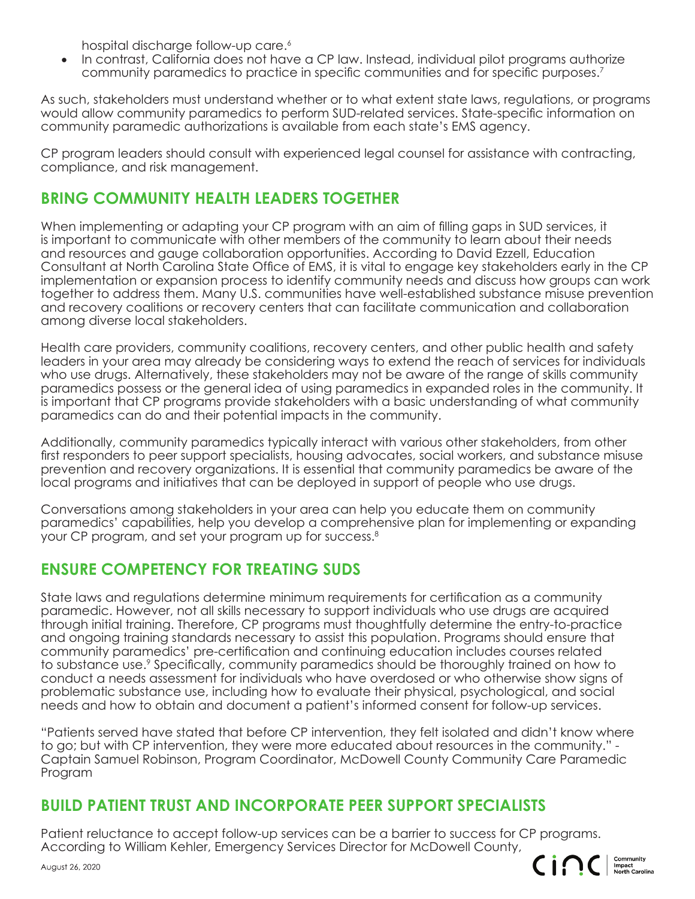hospital discharge follow-up care.<sup>6</sup>

In contrast, California does not have a CP law. Instead, individual pilot programs authorize community paramedics to practice in specific communities and for specific purposes.<sup>7</sup>

As such, stakeholders must understand whether or to what extent state laws, regulations, or programs would allow community paramedics to perform SUD-related services. State-specific information on community paramedic authorizations is available from each state's EMS agency.

CP program leaders should consult with experienced legal counsel for assistance with contracting, compliance, and risk management.

#### **BRING COMMUNITY HEALTH LEADERS TOGETHER**

When implementing or adapting your CP program with an aim of filling gaps in SUD services, it is important to communicate with other members of the community to learn about their needs and resources and gauge collaboration opportunities. According to David Ezzell, Education Consultant at North Carolina State Office of EMS, it is vital to engage key stakeholders early in the CP implementation or expansion process to identify community needs and discuss how groups can work together to address them. Many U.S. communities have well-established substance misuse prevention and recovery coalitions or recovery centers that can facilitate communication and collaboration among diverse local stakeholders.

Health care providers, community coalitions, recovery centers, and other public health and safety leaders in your area may already be considering ways to extend the reach of services for individuals who use drugs. Alternatively, these stakeholders may not be aware of the range of skills community paramedics possess or the general idea of using paramedics in expanded roles in the community. It is important that CP programs provide stakeholders with a basic understanding of what community paramedics can do and their potential impacts in the community.

Additionally, community paramedics typically interact with various other stakeholders, from other first responders to peer support specialists, housing advocates, social workers, and substance misuse prevention and recovery organizations. It is essential that community paramedics be aware of the local programs and initiatives that can be deployed in support of people who use drugs.

Conversations among stakeholders in your area can help you educate them on community paramedics' capabilities, help you develop a comprehensive plan for implementing or expanding your CP program, and set your program up for success.<sup>8</sup>

## **ENSURE COMPETENCY FOR TREATING SUDS**

State laws and regulations determine minimum requirements for certification as a community paramedic. However, not all skills necessary to support individuals who use drugs are acquired through initial training. Therefore, CP programs must thoughtfully determine the entry-to-practice and ongoing training standards necessary to assist this population. Programs should ensure that community paramedics' pre-certification and continuing education includes courses related to substance use.9 Specifically, community paramedics should be thoroughly trained on how to conduct a needs assessment for individuals who have overdosed or who otherwise show signs of problematic substance use, including how to evaluate their physical, psychological, and social needs and how to obtain and document a patient's informed consent for follow-up services.

"Patients served have stated that before CP intervention, they felt isolated and didn't know where to go; but with CP intervention, they were more educated about resources in the community." - Captain Samuel Robinson, Program Coordinator, McDowell County Community Care Paramedic Program

#### **BUILD PATIENT TRUST AND INCORPORATE PEER SUPPORT SPECIALISTS**

Patient reluctance to accept follow-up services can be a barrier to success for CP programs. According to William Kehler, Emergency Services Director for McDowell County,



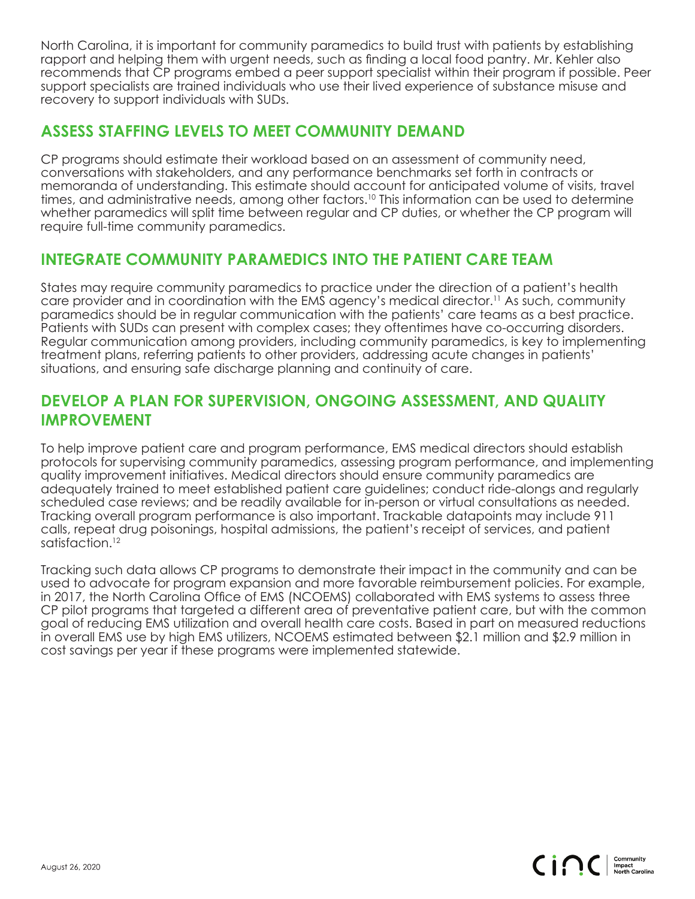North Carolina, it is important for community paramedics to build trust with patients by establishing rapport and helping them with urgent needs, such as finding a local food pantry. Mr. Kehler also recommends that CP programs embed a peer support specialist within their program if possible. Peer support specialists are trained individuals who use their lived experience of substance misuse and recovery to support individuals with SUDs.

#### **ASSESS STAFFING LEVELS TO MEET COMMUNITY DEMAND**

CP programs should estimate their workload based on an assessment of community need, conversations with stakeholders, and any performance benchmarks set forth in contracts or memoranda of understanding. This estimate should account for anticipated volume of visits, travel times, and administrative needs, among other factors.<sup>10</sup> This information can be used to determine whether paramedics will split time between regular and CP duties, or whether the CP program will require full-time community paramedics.

#### **INTEGRATE COMMUNITY PARAMEDICS INTO THE PATIENT CARE TEAM**

States may require community paramedics to practice under the direction of a patient's health care provider and in coordination with the EMS agency's medical director.<sup>11</sup> As such, community paramedics should be in regular communication with the patients' care teams as a best practice. Patients with SUDs can present with complex cases; they oftentimes have co-occurring disorders. Regular communication among providers, including community paramedics, is key to implementing treatment plans, referring patients to other providers, addressing acute changes in patients' situations, and ensuring safe discharge planning and continuity of care.

#### **DEVELOP A PLAN FOR SUPERVISION, ONGOING ASSESSMENT, AND QUALITY IMPROVEMENT**

To help improve patient care and program performance, EMS medical directors should establish protocols for supervising community paramedics, assessing program performance, and implementing quality improvement initiatives. Medical directors should ensure community paramedics are adequately trained to meet established patient care guidelines; conduct ride-alongs and regularly scheduled case reviews; and be readily available for in-person or virtual consultations as needed. Tracking overall program performance is also important. Trackable datapoints may include 911 calls, repeat drug poisonings, hospital admissions, the patient's receipt of services, and patient satisfaction.<sup>12</sup>

Tracking such data allows CP programs to demonstrate their impact in the community and can be used to advocate for program expansion and more favorable reimbursement policies. For example, in 2017, the North Carolina Office of EMS (NCOEMS) collaborated with EMS systems to assess three CP pilot programs that targeted a different area of preventative patient care, but with the common goal of reducing EMS utilization and overall health care costs. Based in part on measured reductions in overall EMS use by high EMS utilizers, NCOEMS estimated between \$2.1 million and \$2.9 million in cost savings per year if these programs were implemented statewide.